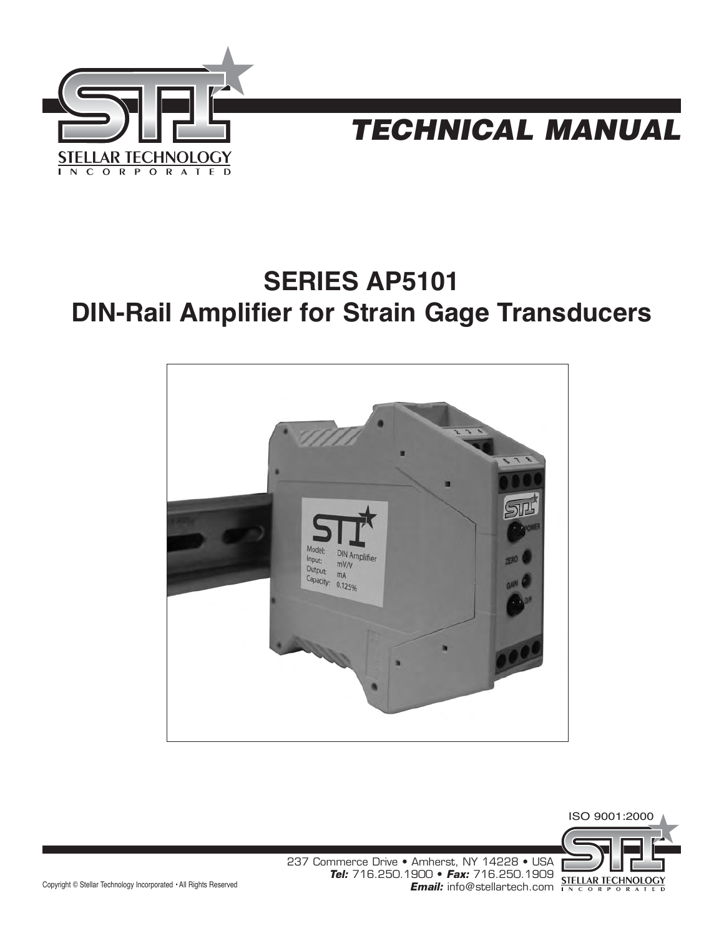



# **SERIES AP5101 DIN-Rail Amplifier for Strain Gage Transducers**





237 Commerce Drive • Amherst, NY 14228 • USA **Tel:** 716.250.1900 • **Fax:** 716.250.1909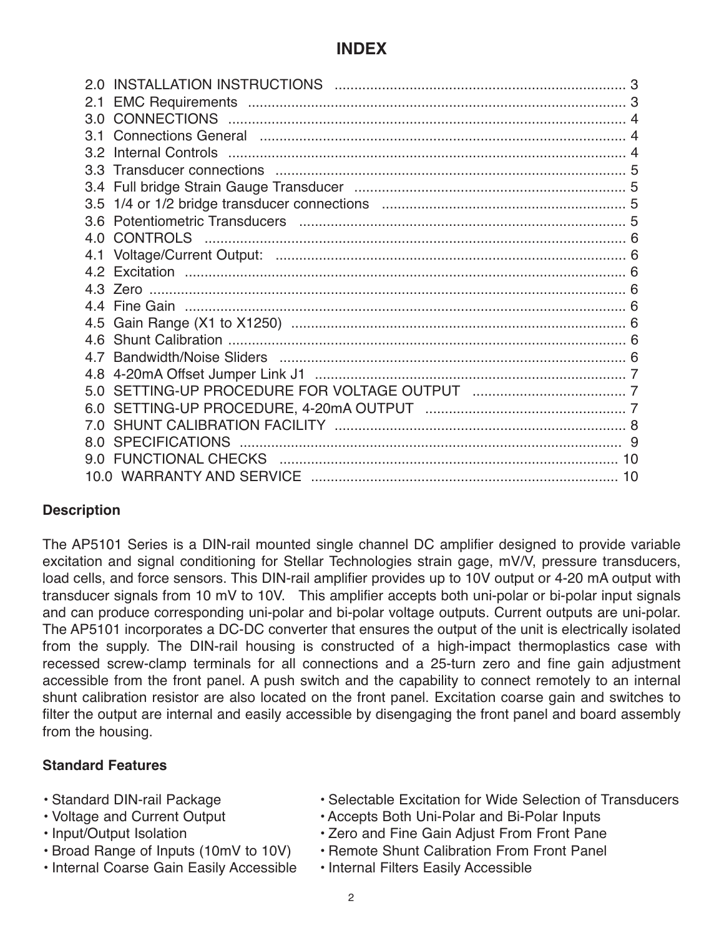# **INDEX**

| 2.1   |  |
|-------|--|
| 3 O   |  |
| 31    |  |
| 3.2   |  |
| 3 3 . |  |
| 3.4   |  |
| 3.5   |  |
|       |  |
| 4.0   |  |
| 4.1   |  |
|       |  |
|       |  |
|       |  |
|       |  |
|       |  |
|       |  |
|       |  |
| 5 Q   |  |
| 6.0   |  |
|       |  |
| 8 O   |  |
|       |  |
|       |  |
|       |  |

### **Description**

The AP5101 Series is a DIN-rail mounted single channel DC amplifier designed to provide variable excitation and signal conditioning for Stellar Technologies strain gage, mV/V, pressure transducers, load cells, and force sensors. This DIN-rail amplifier provides up to 10V output or 4-20 mA output with transducer signals from 10 mV to 10V. This amplifier accepts both uni-polar or bi-polar input signals and can produce corresponding uni-polar and bi-polar voltage outputs. Current outputs are uni-polar. The AP5101 incorporates a DC-DC converter that ensures the output of the unit is electrically isolated from the supply. The DIN-rail housing is constructed of a high-impact thermoplastics case with recessed screw-clamp terminals for all connections and a 25-turn zero and fine gain adjustment accessible from the front panel. A push switch and the capability to connect remotely to an internal shunt calibration resistor are also located on the front panel. Excitation coarse gain and switches to filter the output are internal and easily accessible by disengaging the front panel and board assembly from the housing.

#### **Standard Features**

- 
- 
- 
- 
- Internal Coarse Gain Easily Accessible Internal Filters Easily Accessible
- Standard DIN-rail Package • Selectable Excitation for Wide Selection of Transducers
- Voltage and Current Output Accepts Both Uni-Polar and Bi-Polar Inputs
- Input/Output Isolation Zero and Fine Gain Adjust From Front Pane
- Broad Range of Inputs (10mV to 10V) Remote Shunt Calibration From Front Panel
	-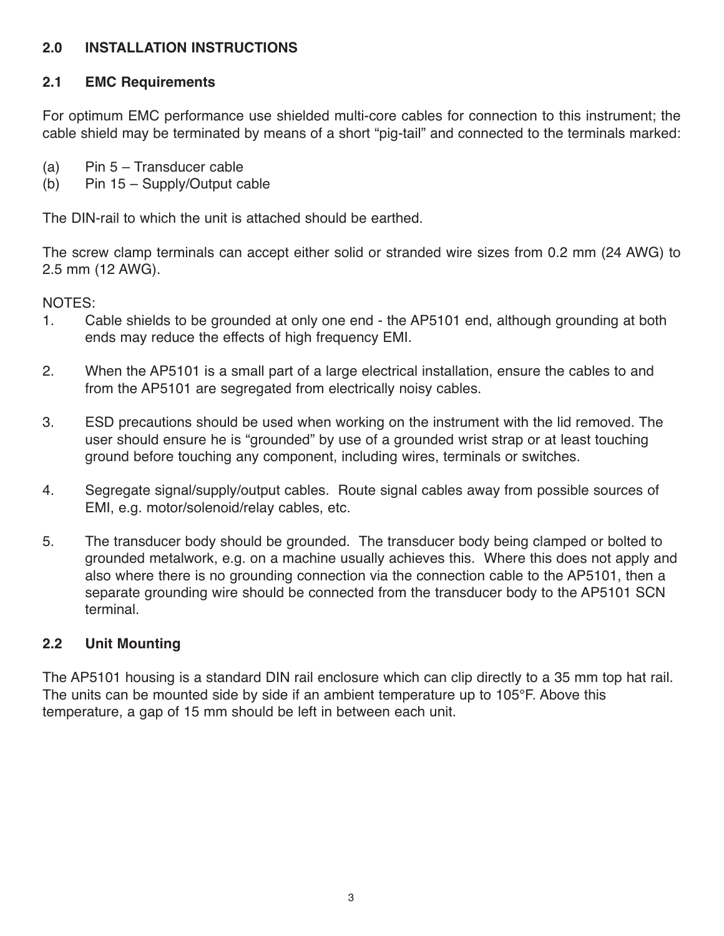### **2.0 INSTALLATION INSTRUCTIONS**

#### **2.1 EMC Requirements**

For optimum EMC performance use shielded multi-core cables for connection to this instrument; the cable shield may be terminated by means of a short "pig-tail" and connected to the terminals marked:

- (a) Pin 5 Transducer cable
- (b) Pin 15 Supply/Output cable

The DIN-rail to which the unit is attached should be earthed.

The screw clamp terminals can accept either solid or stranded wire sizes from 0.2 mm (24 AWG) to 2.5 mm (12 AWG).

NOTES:

- 1. Cable shields to be grounded at only one end the AP5101 end, although grounding at both ends may reduce the effects of high frequency EMI.
- 2. When the AP5101 is a small part of a large electrical installation, ensure the cables to and from the AP5101 are segregated from electrically noisy cables.
- 3. ESD precautions should be used when working on the instrument with the lid removed. The user should ensure he is "grounded" by use of a grounded wrist strap or at least touching ground before touching any component, including wires, terminals or switches.
- 4. Segregate signal/supply/output cables. Route signal cables away from possible sources of EMI, e.g. motor/solenoid/relay cables, etc.
- 5. The transducer body should be grounded. The transducer body being clamped or bolted to grounded metalwork, e.g. on a machine usually achieves this. Where this does not apply and also where there is no grounding connection via the connection cable to the AP5101, then a separate grounding wire should be connected from the transducer body to the AP5101 SCN terminal.

### **2.2 Unit Mounting**

The AP5101 housing is a standard DIN rail enclosure which can clip directly to a 35 mm top hat rail. The units can be mounted side by side if an ambient temperature up to 105°F. Above this temperature, a gap of 15 mm should be left in between each unit.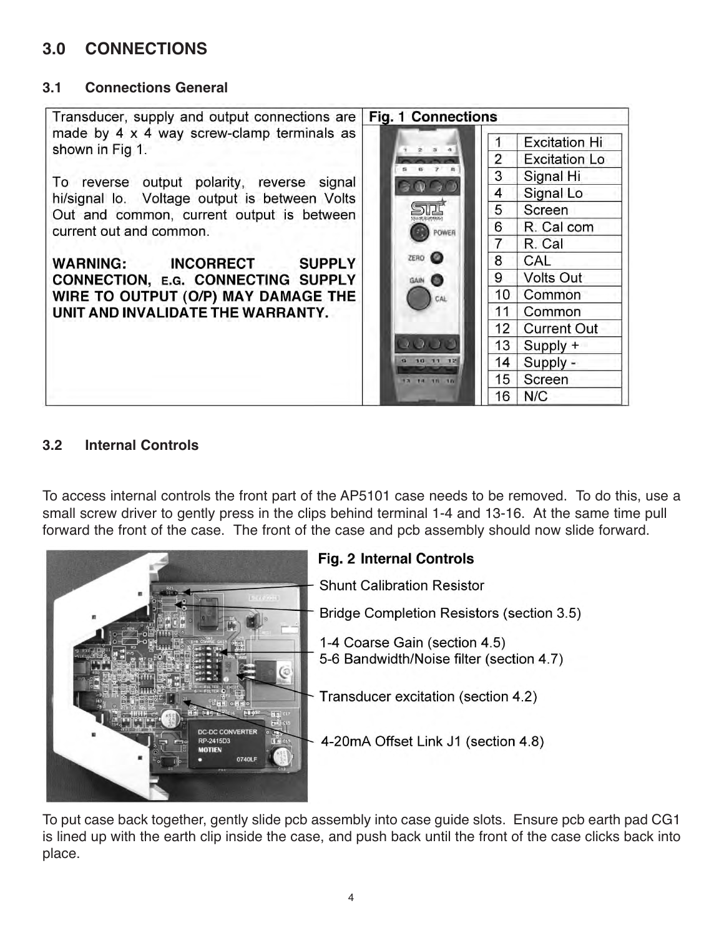# **3.0 CONNECTIONS**

#### **3.1 Connections General**



#### **3.2 Internal Controls**

To access internal controls the front part of the AP5101 case needs to be removed. To do this, use a small screw driver to gently press in the clips behind terminal 1-4 and 13-16. At the same time pull forward the front of the case. The front of the case and pcb assembly should now slide forward.



# **Fig. 2 Internal Controls Shunt Calibration Resistor** Bridge Completion Resistors (section 3.5) 1-4 Coarse Gain (section 4.5) 5-6 Bandwidth/Noise filter (section 4.7) - Transducer excitation (section 4.2) 4-20mA Offset Link J1 (section 4.8)

To put case back together, gently slide pcb assembly into case guide slots. Ensure pcb earth pad CG1 is lined up with the earth clip inside the case, and push back until the front of the case clicks back into place.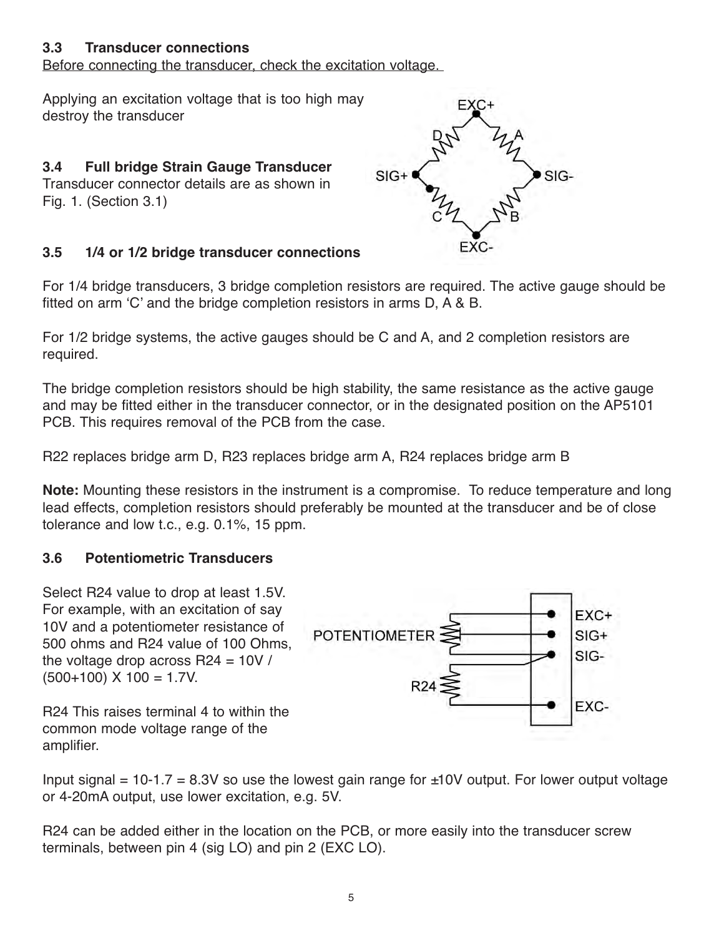#### **3.3 Transducer connections**

Before connecting the transducer, check the excitation voltage.

Applying an excitation voltage that is too high may destroy the transducer

#### **3.4 Full bridge Strain Gauge Transducer**  Transducer connector details are as shown in Fig. 1. (Section 3.1)

#### **3.5 1/4 or 1/2 bridge transducer connections**

For 1/4 bridge transducers, 3 bridge completion resistors are required. The active gauge should be fitted on arm 'C' and the bridge completion resistors in arms D, A & B.

For 1/2 bridge systems, the active gauges should be C and A, and 2 completion resistors are required.

The bridge completion resistors should be high stability, the same resistance as the active gauge and may be fitted either in the transducer connector, or in the designated position on the AP5101 PCB. This requires removal of the PCB from the case.

R22 replaces bridge arm D, R23 replaces bridge arm A, R24 replaces bridge arm B

**Note:** Mounting these resistors in the instrument is a compromise. To reduce temperature and long lead effects, completion resistors should preferably be mounted at the transducer and be of close tolerance and low t.c., e.g. 0.1%, 15 ppm.

#### **3.6 Potentiometric Transducers**

Select R24 value to drop at least 1.5V. For example, with an excitation of say 10V and a potentiometer resistance of 500 ohms and R24 value of 100 Ohms, the voltage drop across R24 = 10V /  $(500+100)$  X  $100 = 1.7$ V.



R24 This raises terminal 4 to within the common mode voltage range of the amplifier.

Input signal =  $10-1.7 = 8.3V$  so use the lowest gain range for  $\pm 10V$  output. For lower output voltage or 4-20mA output, use lower excitation, e.g. 5V.

R24 can be added either in the location on the PCB, or more easily into the transducer screw terminals, between pin 4 (sig LO) and pin 2 (EXC LO).

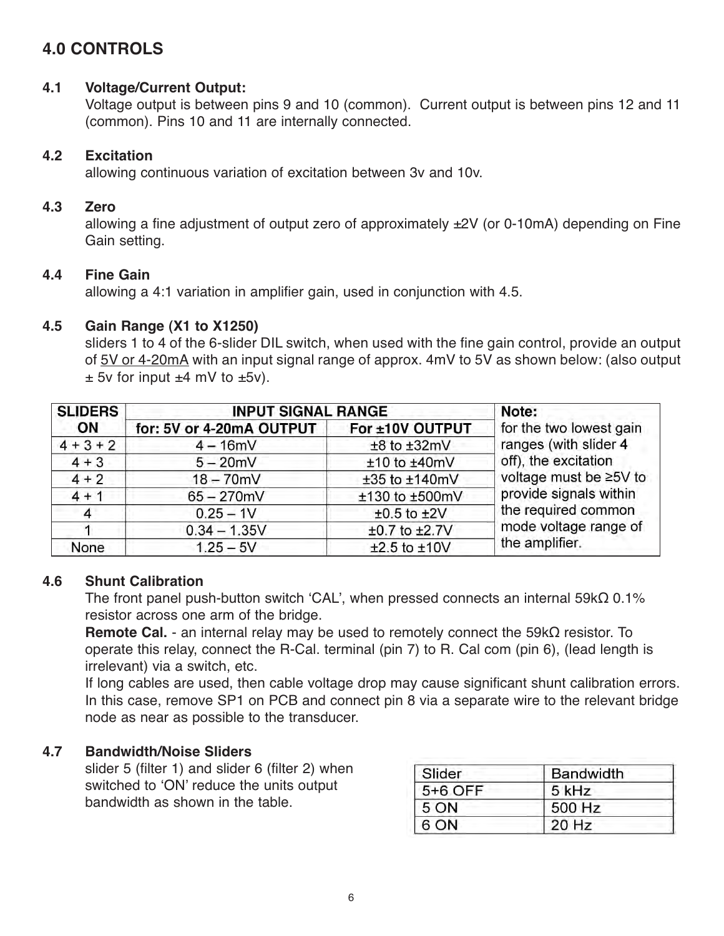# **4.0 CONTROLS**

#### **4.1 Voltage/Current Output:**

Voltage output is between pins 9 and 10 (common). Current output is between pins 12 and 11 (common). Pins 10 and 11 are internally connected.

#### **4.2 Excitation**

allowing continuous variation of excitation between 3v and 10v.

#### **4.3 Zero**

allowing a fine adjustment of output zero of approximately ±2V (or 0-10mA) depending on Fine Gain setting.

#### **4.4 Fine Gain**

allowing a 4:1 variation in amplifier gain, used in conjunction with 4.5.

#### **4.5 Gain Range (X1 to X1250)**

sliders 1 to 4 of the 6-slider DIL switch, when used with the fine gain control, provide an output of 5V or 4-20mA with an input signal range of approx. 4mV to 5V as shown below: (also output  $\pm$  5v for input  $\pm$ 4 mV to  $\pm$ 5v).

| <b>SLIDERS</b> | <b>INPUT SIGNAL RANGE</b> |                   | Note:                                                                   |  |
|----------------|---------------------------|-------------------|-------------------------------------------------------------------------|--|
| <b>ON</b>      | for: 5V or 4-20mA OUTPUT  | For ±10V OUTPUT   | for the two lowest gain                                                 |  |
| $4 + 3 + 2$    | $4 - 16mV$                | $±8$ to $±32mV$   | ranges (with slider 4<br>off), the excitation<br>voltage must be ≥5V to |  |
| $4 + 3$        | $5 - 20mV$                | $±10$ to $±40mV$  |                                                                         |  |
| $4 + 2$        | $18 - 70$ mV              | ±35 to ±140mV     |                                                                         |  |
| $4 + 1$        | $65 - 270$ mV             | ±130 to ±500mV    | provide signals within                                                  |  |
| $\overline{4}$ | $0.25 - 1V$               | $±0.5$ to $±2V$   | the required common                                                     |  |
|                | $0.34 - 1.35V$            | $±0.7$ to $±2.7V$ | mode voltage range of                                                   |  |
| None           | $1.25 - 5V$               | $±2.5$ to $±10V$  | the amplifier.                                                          |  |

### **4.6 Shunt Calibration**

The front panel push-button switch 'CAL', when pressed connects an internal 59kΩ 0.1% resistor across one arm of the bridge.

**Remote Cal.** - an internal relay may be used to remotely connect the 59kΩ resistor. To operate this relay, connect the R-Cal. terminal (pin 7) to R. Cal com (pin 6), (lead length is irrelevant) via a switch, etc.

If long cables are used, then cable voltage drop may cause significant shunt calibration errors. In this case, remove SP1 on PCB and connect pin 8 via a separate wire to the relevant bridge node as near as possible to the transducer.

### **4.7 Bandwidth/Noise Sliders**

slider 5 (filter 1) and slider 6 (filter 2) when switched to 'ON' reduce the units output bandwidth as shown in the table.

| Slider  | <b>Bandwidth</b> |
|---------|------------------|
| 5+6 OFF | 5 kHz            |
| 5 ON    | 500 Hz           |
| 6 ON    | 20 Hz            |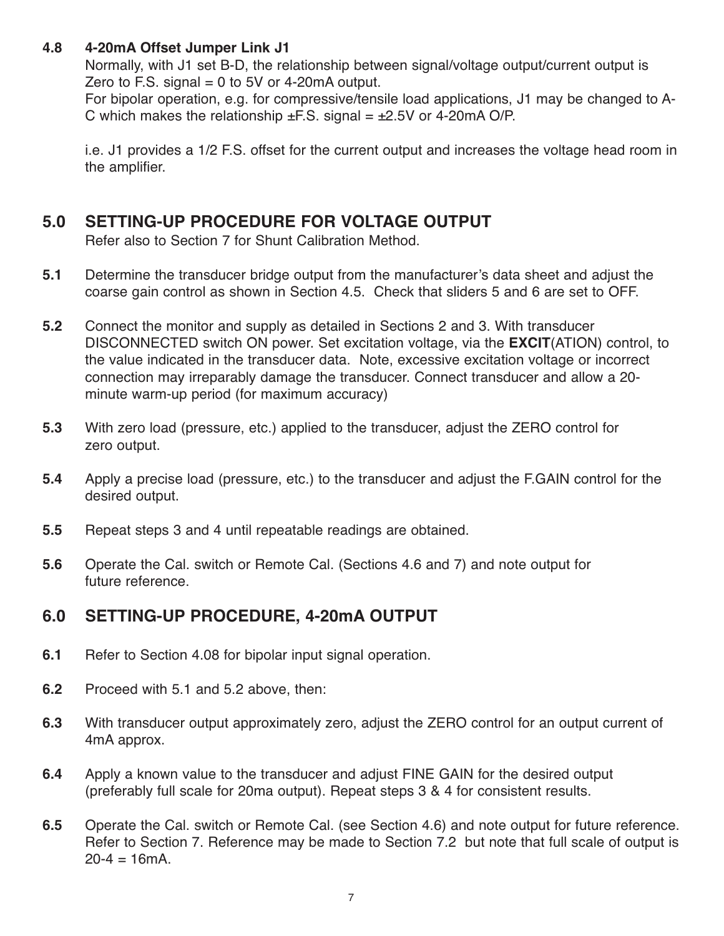#### **4.8 4-20mA Offset Jumper Link J1**

Normally, with J1 set B-D, the relationship between signal/voltage output/current output is Zero to F.S. signal  $= 0$  to 5V or 4-20 m A output.

For bipolar operation, e.g. for compressive/tensile load applications, J1 may be changed to A-C which makes the relationship  $\pm$  F.S. signal =  $\pm$ 2.5V or 4-20mA O/P.

i.e. J1 provides a 1/2 F.S. offset for the current output and increases the voltage head room in the amplifier.

# **5.0 SETTING-UP PROCEDURE FOR VOLTAGE OUTPUT**

Refer also to Section 7 for Shunt Calibration Method.

- **5.1** Determine the transducer bridge output from the manufacturer's data sheet and adjust the coarse gain control as shown in Section 4.5. Check that sliders 5 and 6 are set to OFF.
- **5.2** Connect the monitor and supply as detailed in Sections 2 and 3. With transducer DISCONNECTED switch ON power. Set excitation voltage, via the **EXCIT**(ATION) control, to the value indicated in the transducer data. Note, excessive excitation voltage or incorrect connection may irreparably damage the transducer. Connect transducer and allow a 20 minute warm-up period (for maximum accuracy)
- **5.3** With zero load (pressure, etc.) applied to the transducer, adjust the ZERO control for zero output.
- **5.4** Apply a precise load (pressure, etc.) to the transducer and adjust the F.GAIN control for the desired output.
- **5.5** Repeat steps 3 and 4 until repeatable readings are obtained.
- **5.6** Operate the Cal. switch or Remote Cal. (Sections 4.6 and 7) and note output for future reference.

# **6.0 SETTING-UP PROCEDURE, 4-20mA OUTPUT**

- **6.1** Refer to Section 4.08 for bipolar input signal operation.
- **6.2** Proceed with 5.1 and 5.2 above, then:
- **6.3** With transducer output approximately zero, adjust the ZERO control for an output current of 4mA approx.
- **6.4** Apply a known value to the transducer and adjust FINE GAIN for the desired output (preferably full scale for 20ma output). Repeat steps 3 & 4 for consistent results.
- **6.5** Operate the Cal. switch or Remote Cal. (see Section 4.6) and note output for future reference. Refer to Section 7. Reference may be made to Section 7.2 but note that full scale of output is  $20 - 4 = 16$ mA.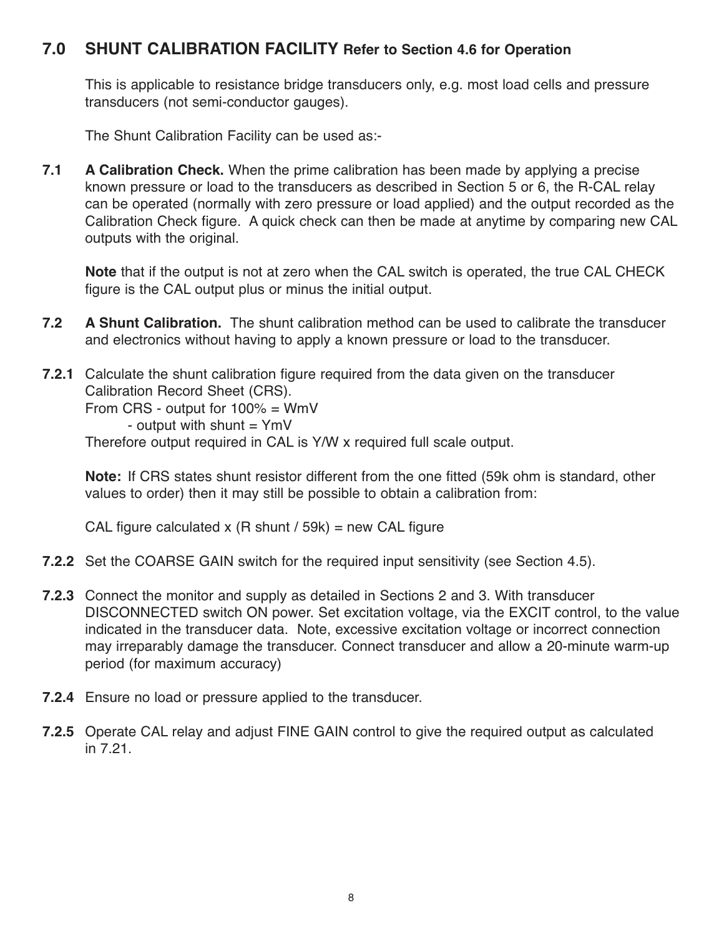## **7.0 SHUNT CALIBRATION FACILITY Refer to Section 4.6 for Operation**

This is applicable to resistance bridge transducers only, e.g. most load cells and pressure transducers (not semi-conductor gauges).

The Shunt Calibration Facility can be used as:-

**7.1 A Calibration Check.** When the prime calibration has been made by applying a precise known pressure or load to the transducers as described in Section 5 or 6, the R-CAL relay can be operated (normally with zero pressure or load applied) and the output recorded as the Calibration Check figure. A quick check can then be made at anytime by comparing new CAL outputs with the original.

**Note** that if the output is not at zero when the CAL switch is operated, the true CAL CHECK figure is the CAL output plus or minus the initial output.

- **7.2 A Shunt Calibration.** The shunt calibration method can be used to calibrate the transducer and electronics without having to apply a known pressure or load to the transducer.
- **7.2.1** Calculate the shunt calibration figure required from the data given on the transducer Calibration Record Sheet (CRS).

From CRS - output for 100% = WmV

- output with shunt  $=$  YmV

Therefore output required in CAL is Y/W x required full scale output.

**Note:** If CRS states shunt resistor different from the one fitted (59k ohm is standard, other values to order) then it may still be possible to obtain a calibration from:

CAL figure calculated x  $(R \text{ shunt } / 59k)$  = new CAL figure

- **7.2.2** Set the COARSE GAIN switch for the required input sensitivity (see Section 4.5).
- **7.2.3** Connect the monitor and supply as detailed in Sections 2 and 3. With transducer DISCONNECTED switch ON power. Set excitation voltage, via the EXCIT control, to the value indicated in the transducer data. Note, excessive excitation voltage or incorrect connection may irreparably damage the transducer. Connect transducer and allow a 20-minute warm-up period (for maximum accuracy)
- **7.2.4** Ensure no load or pressure applied to the transducer.
- **7.2.5** Operate CAL relay and adjust FINE GAIN control to give the required output as calculated in 7.21.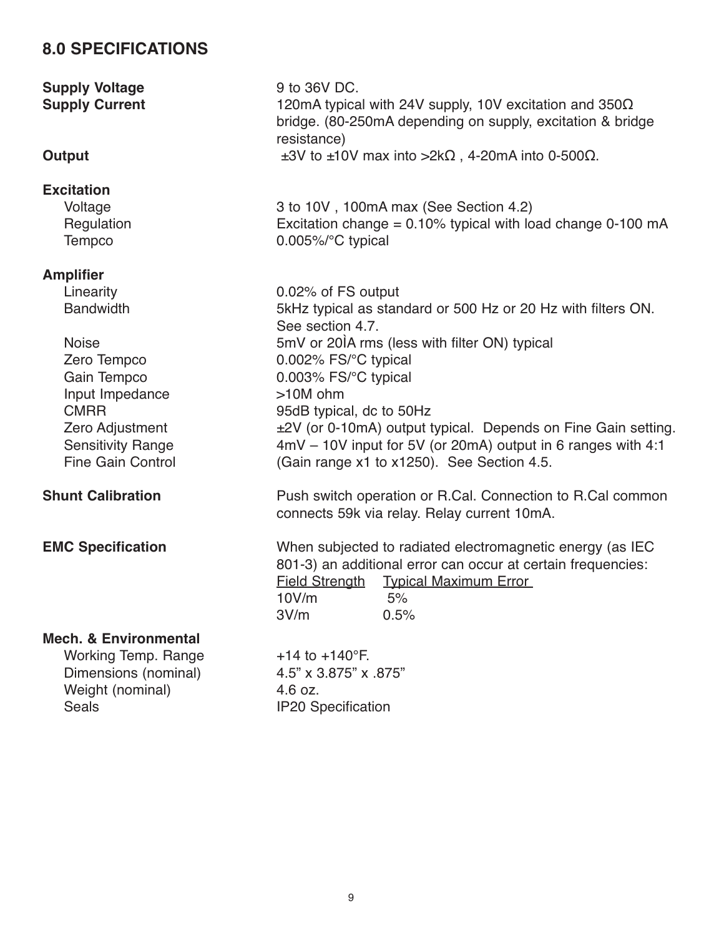# **8.0 SPECIFICATIONS**

**Supply Voltage** 9 to 36V DC.

#### **Excitation**

#### **Amplifier**

- 
- Input Impedance >10M ohm

**Mech. & Environmental**

Working Temp. Range  $+14$  to  $+140^{\circ}$ F. Dimensions (nominal) 4.5" x 3.875" x .875" Weight (nominal) 4.6 oz. Seals **IP20** Specification

**Supply Current** 120mA typical with 24V supply, 10V excitation and 350Ω bridge. (80-250mA depending on supply, excitation & bridge resistance) **Output**  $\pm 3V$  to  $\pm 10V$  max into  $>2k\Omega$ , 4-20mA into 0-500 $\Omega$ .

Voltage 3 to 10V , 100mA max (See Section 4.2) Regulation **Excitation change = 0.10% typical with load change 0-100 mA** Tempco 0.005%/°C typical

Linearity 0.02% of FS output Bandwidth 5kHz typical as standard or 500 Hz or 20 Hz with filters ON. See section 4.7. Noise 5mV or 20<sup> $\lambda$ </sup> rms (less with filter ON) typical Zero Tempco 0.002% FS/°C typical Gain Tempco 0.003% FS/°C typical CMRR 95dB typical, dc to 50Hz Zero Adjustment  $\pm 2V$  (or 0-10mA) output typical. Depends on Fine Gain setting. Sensitivity Range 4mV – 10V input for 5V (or 20mA) output in 6 ranges with 4:1 Fine Gain Control (Gain range x1 to x1250). See Section 4.5.

**Shunt Calibration Push switch operation or R.Cal. Connection to R.Cal common** connects 59k via relay. Relay current 10mA.

**EMC Specification** When subjected to radiated electromagnetic energy (as IEC 801-3) an additional error can occur at certain frequencies: Field Strength Typical Maximum Error 10V/m 5% 3V/m 0.5%